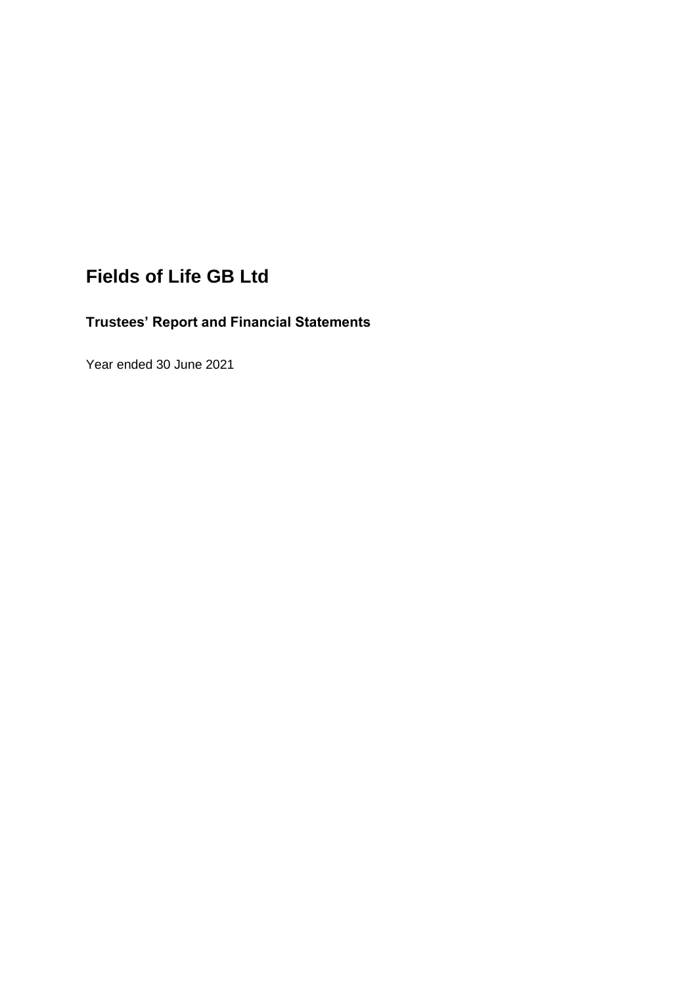# **Fields of Life GB Ltd**

## **Trustees' Report and Financial Statements**

Year ended 30 June 2021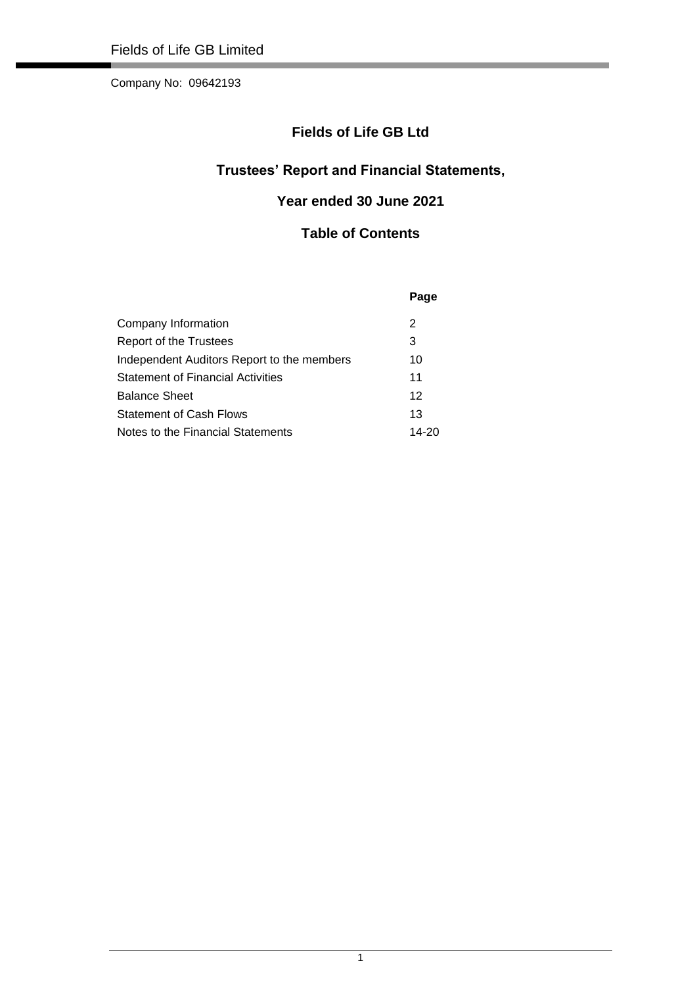## **Fields of Life GB Ltd**

## **Trustees' Report and Financial Statements,**

## **Year ended 30 June 2021**

### **Table of Contents**

|                                            | Page  |
|--------------------------------------------|-------|
| Company Information                        | 2     |
| Report of the Trustees                     | 3     |
| Independent Auditors Report to the members | 10    |
| <b>Statement of Financial Activities</b>   | 11    |
| <b>Balance Sheet</b>                       | 12    |
| <b>Statement of Cash Flows</b>             | 13    |
| Notes to the Financial Statements          | 14-20 |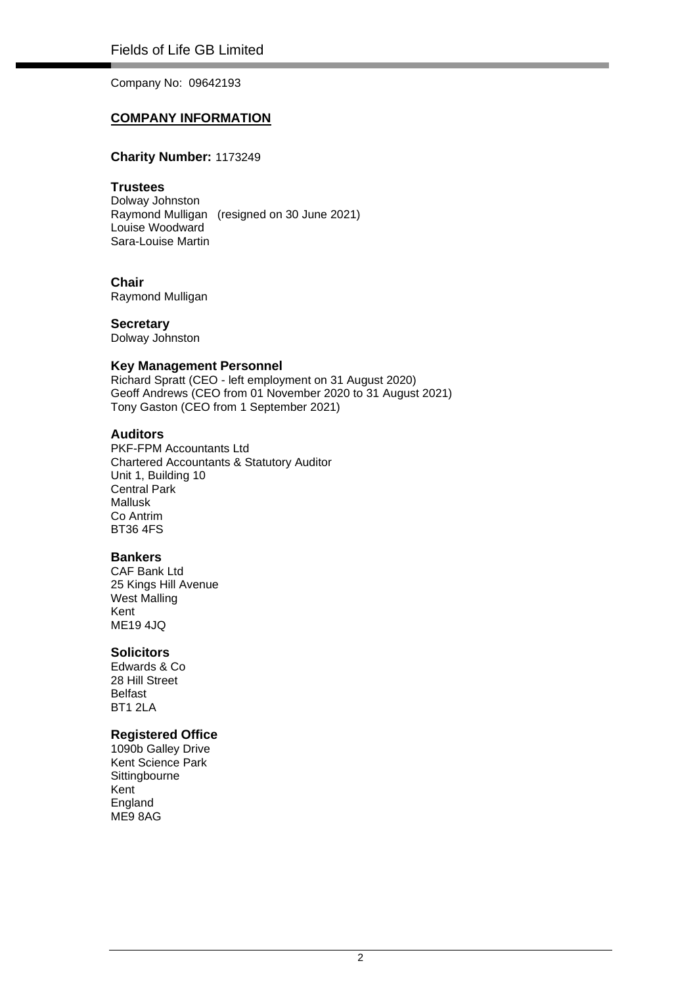### **COMPANY INFORMATION**

### **Charity Number:** 1173249

### **Trustees**

Dolway Johnston Raymond Mulligan (resigned on 30 June 2021) Louise Woodward Sara-Louise Martin

### **Chair**

Raymond Mulligan

**Secretary** Dolway Johnston

### **Key Management Personnel**

Richard Spratt (CEO - left employment on 31 August 2020) Geoff Andrews (CEO from 01 November 2020 to 31 August 2021) Tony Gaston (CEO from 1 September 2021)

### **Auditors**

PKF-FPM Accountants Ltd Chartered Accountants & Statutory Auditor Unit 1, Building 10 Central Park Mallusk Co Antrim BT36 4FS

### **Bankers**

CAF Bank Ltd 25 Kings Hill Avenue West Malling Kent ME19 4JQ

### **Solicitors**

Edwards & Co 28 Hill Street Belfast BT1 2LA

### **Registered Office**

1090b Galley Drive Kent Science Park **Sittingbourne** Kent **England** ME9 8AG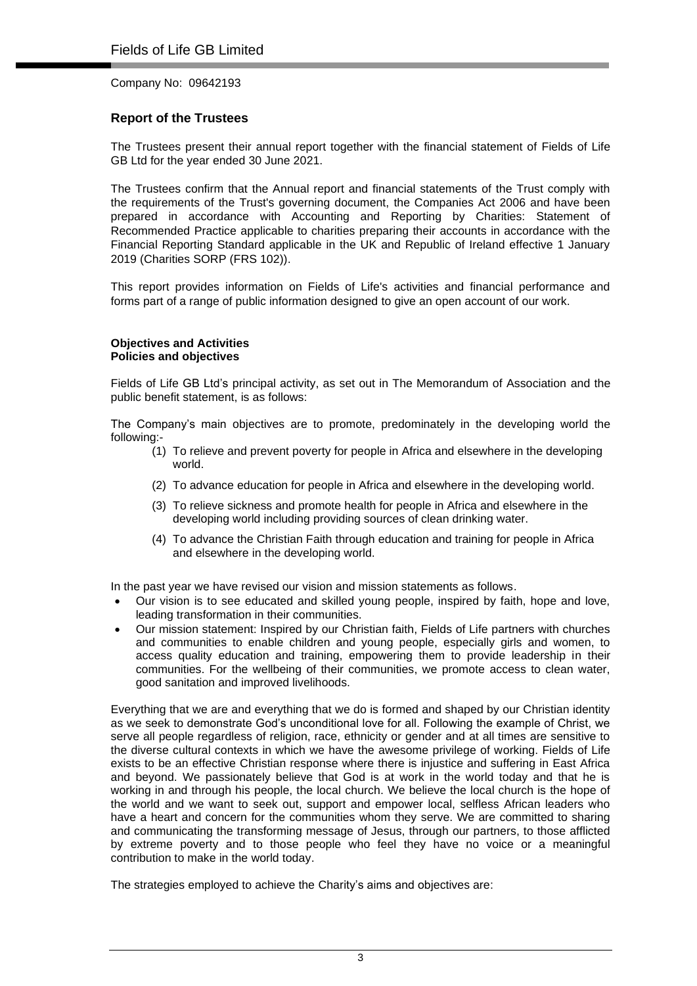### **Report of the Trustees**

The Trustees present their annual report together with the financial statement of Fields of Life GB Ltd for the year ended 30 June 2021.

The Trustees confirm that the Annual report and financial statements of the Trust comply with the requirements of the Trust's governing document, the Companies Act 2006 and have been prepared in accordance with Accounting and Reporting by Charities: Statement of Recommended Practice applicable to charities preparing their accounts in accordance with the Financial Reporting Standard applicable in the UK and Republic of Ireland effective 1 January 2019 (Charities SORP (FRS 102)).

This report provides information on Fields of Life's activities and financial performance and forms part of a range of public information designed to give an open account of our work.

### **Objectives and Activities Policies and objectives**

Fields of Life GB Ltd's principal activity, as set out in The Memorandum of Association and the public benefit statement, is as follows:

The Company's main objectives are to promote, predominately in the developing world the following:-

- (1) To relieve and prevent poverty for people in Africa and elsewhere in the developing world.
- (2) To advance education for people in Africa and elsewhere in the developing world.
- (3) To relieve sickness and promote health for people in Africa and elsewhere in the developing world including providing sources of clean drinking water.
- (4) To advance the Christian Faith through education and training for people in Africa and elsewhere in the developing world.

In the past year we have revised our vision and mission statements as follows.

- Our vision is to see educated and skilled young people, inspired by faith, hope and love, leading transformation in their communities.
- Our mission statement: Inspired by our Christian faith, Fields of Life partners with churches and communities to enable children and young people, especially girls and women, to access quality education and training, empowering them to provide leadership in their communities. For the wellbeing of their communities, we promote access to clean water, good sanitation and improved livelihoods.

Everything that we are and everything that we do is formed and shaped by our Christian identity as we seek to demonstrate God's unconditional love for all. Following the example of Christ, we serve all people regardless of religion, race, ethnicity or gender and at all times are sensitive to the diverse cultural contexts in which we have the awesome privilege of working. Fields of Life exists to be an effective Christian response where there is injustice and suffering in East Africa and beyond. We passionately believe that God is at work in the world today and that he is working in and through his people, the local church. We believe the local church is the hope of the world and we want to seek out, support and empower local, selfless African leaders who have a heart and concern for the communities whom they serve. We are committed to sharing and communicating the transforming message of Jesus, through our partners, to those afflicted by extreme poverty and to those people who feel they have no voice or a meaningful contribution to make in the world today.

The strategies employed to achieve the Charity's aims and objectives are: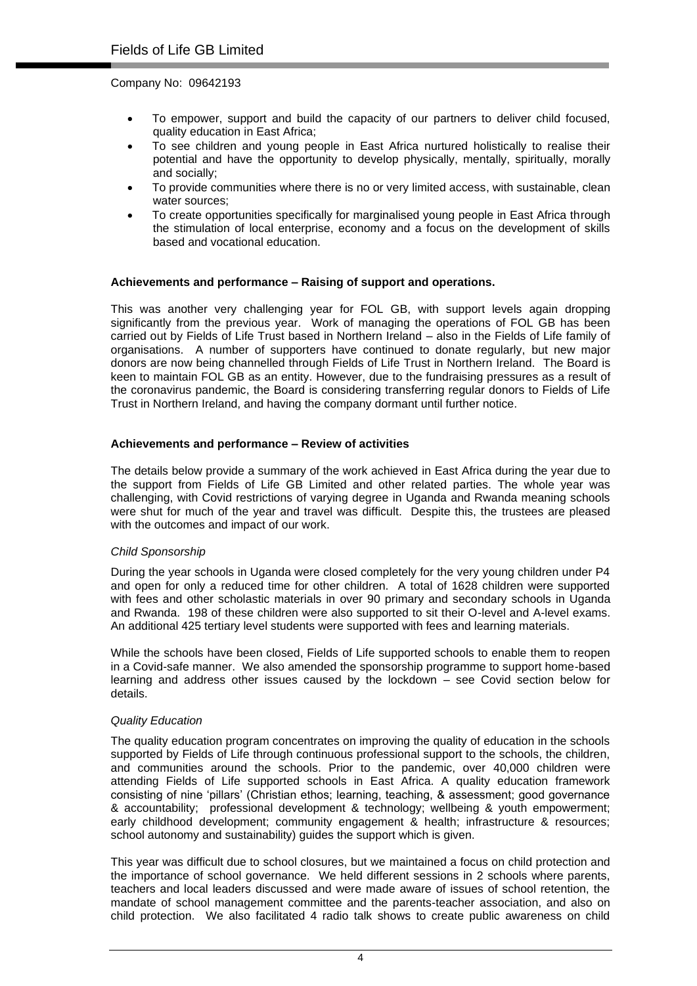- To empower, support and build the capacity of our partners to deliver child focused, quality education in East Africa;
- To see children and young people in East Africa nurtured holistically to realise their potential and have the opportunity to develop physically, mentally, spiritually, morally and socially;
- To provide communities where there is no or very limited access, with sustainable, clean water sources:
- To create opportunities specifically for marginalised young people in East Africa through the stimulation of local enterprise, economy and a focus on the development of skills based and vocational education.

### **Achievements and performance – Raising of support and operations.**

This was another very challenging year for FOL GB, with support levels again dropping significantly from the previous year. Work of managing the operations of FOL GB has been carried out by Fields of Life Trust based in Northern Ireland – also in the Fields of Life family of organisations. A number of supporters have continued to donate regularly, but new major donors are now being channelled through Fields of Life Trust in Northern Ireland. The Board is keen to maintain FOL GB as an entity. However, due to the fundraising pressures as a result of the coronavirus pandemic, the Board is considering transferring regular donors to Fields of Life Trust in Northern Ireland, and having the company dormant until further notice.

### **Achievements and performance – Review of activities**

The details below provide a summary of the work achieved in East Africa during the year due to the support from Fields of Life GB Limited and other related parties. The whole year was challenging, with Covid restrictions of varying degree in Uganda and Rwanda meaning schools were shut for much of the year and travel was difficult. Despite this, the trustees are pleased with the outcomes and impact of our work.

### *Child Sponsorship*

During the year schools in Uganda were closed completely for the very young children under P4 and open for only a reduced time for other children. A total of 1628 children were supported with fees and other scholastic materials in over 90 primary and secondary schools in Uganda and Rwanda. 198 of these children were also supported to sit their O-level and A-level exams. An additional 425 tertiary level students were supported with fees and learning materials.

While the schools have been closed, Fields of Life supported schools to enable them to reopen in a Covid-safe manner. We also amended the sponsorship programme to support home-based learning and address other issues caused by the lockdown – see Covid section below for details.

### *Quality Education*

The quality education program concentrates on improving the quality of education in the schools supported by Fields of Life through continuous professional support to the schools, the children, and communities around the schools. Prior to the pandemic, over 40,000 children were attending Fields of Life supported schools in East Africa. A quality education framework consisting of nine 'pillars' (Christian ethos; learning, teaching, & assessment; good governance & accountability; professional development & technology; wellbeing & youth empowerment; early childhood development; community engagement & health; infrastructure & resources; school autonomy and sustainability) guides the support which is given.

This year was difficult due to school closures, but we maintained a focus on child protection and the importance of school governance. We held different sessions in 2 schools where parents, teachers and local leaders discussed and were made aware of issues of school retention, the mandate of school management committee and the parents-teacher association, and also on child protection. We also facilitated 4 radio talk shows to create public awareness on child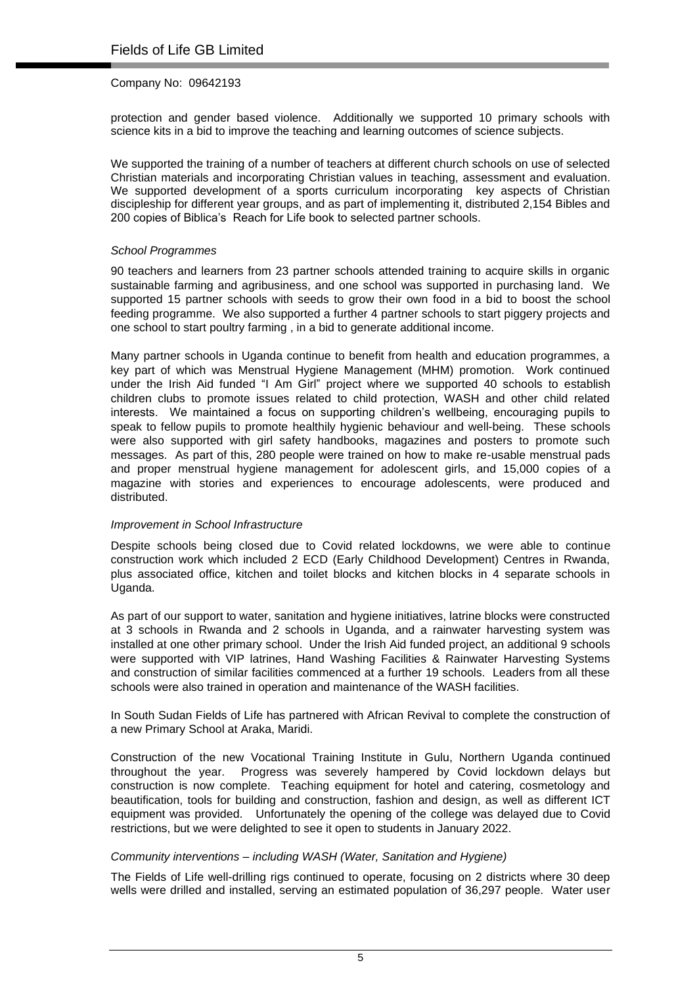protection and gender based violence. Additionally we supported 10 primary schools with science kits in a bid to improve the teaching and learning outcomes of science subjects.

We supported the training of a number of teachers at different church schools on use of selected Christian materials and incorporating Christian values in teaching, assessment and evaluation. We supported development of a sports curriculum incorporating key aspects of Christian discipleship for different year groups, and as part of implementing it, distributed 2,154 Bibles and 200 copies of Biblica's Reach for Life book to selected partner schools.

### *School Programmes*

90 teachers and learners from 23 partner schools attended training to acquire skills in organic sustainable farming and agribusiness, and one school was supported in purchasing land. We supported 15 partner schools with seeds to grow their own food in a bid to boost the school feeding programme. We also supported a further 4 partner schools to start piggery projects and one school to start poultry farming , in a bid to generate additional income.

Many partner schools in Uganda continue to benefit from health and education programmes, a key part of which was Menstrual Hygiene Management (MHM) promotion. Work continued under the Irish Aid funded "I Am Girl" project where we supported 40 schools to establish children clubs to promote issues related to child protection, WASH and other child related interests. We maintained a focus on supporting children's wellbeing, encouraging pupils to speak to fellow pupils to promote healthily hygienic behaviour and well-being. These schools were also supported with girl safety handbooks, magazines and posters to promote such messages. As part of this, 280 people were trained on how to make re-usable menstrual pads and proper menstrual hygiene management for adolescent girls, and 15,000 copies of a magazine with stories and experiences to encourage adolescents, were produced and distributed.

### *Improvement in School Infrastructure*

Despite schools being closed due to Covid related lockdowns, we were able to continue construction work which included 2 ECD (Early Childhood Development) Centres in Rwanda, plus associated office, kitchen and toilet blocks and kitchen blocks in 4 separate schools in Uganda.

As part of our support to water, sanitation and hygiene initiatives, latrine blocks were constructed at 3 schools in Rwanda and 2 schools in Uganda, and a rainwater harvesting system was installed at one other primary school. Under the Irish Aid funded project, an additional 9 schools were supported with VIP latrines, Hand Washing Facilities & Rainwater Harvesting Systems and construction of similar facilities commenced at a further 19 schools. Leaders from all these schools were also trained in operation and maintenance of the WASH facilities.

In South Sudan Fields of Life has partnered with African Revival to complete the construction of a new Primary School at Araka, Maridi.

Construction of the new Vocational Training Institute in Gulu, Northern Uganda continued throughout the year. Progress was severely hampered by Covid lockdown delays but construction is now complete. Teaching equipment for hotel and catering, cosmetology and beautification, tools for building and construction, fashion and design, as well as different ICT equipment was provided. Unfortunately the opening of the college was delayed due to Covid restrictions, but we were delighted to see it open to students in January 2022.

### *Community interventions – including WASH (Water, Sanitation and Hygiene)*

The Fields of Life well-drilling rigs continued to operate, focusing on 2 districts where 30 deep wells were drilled and installed, serving an estimated population of 36,297 people. Water user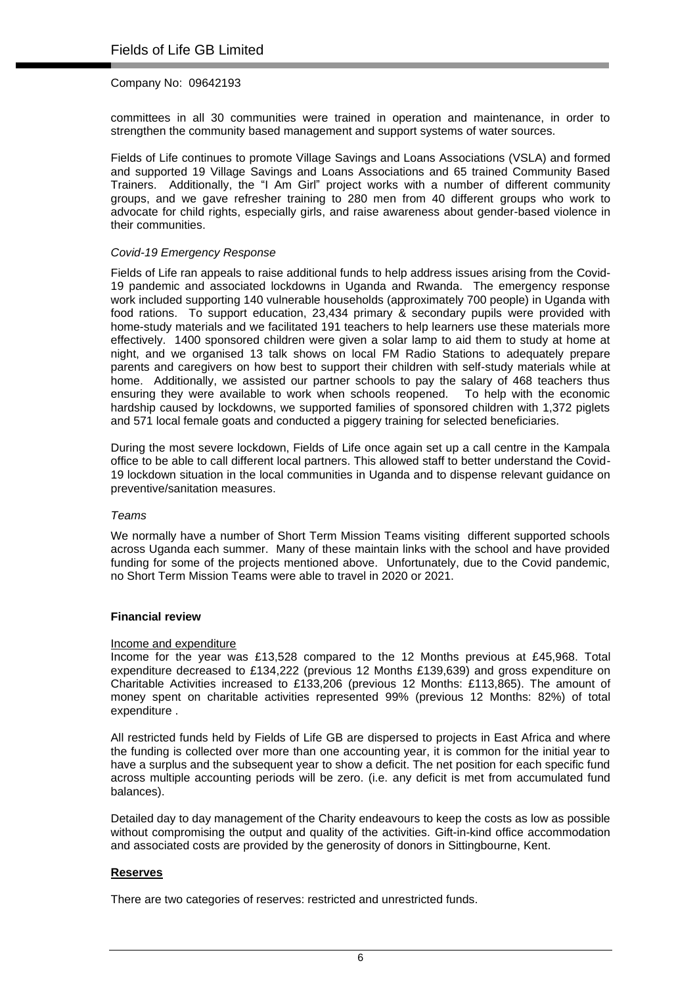committees in all 30 communities were trained in operation and maintenance, in order to strengthen the community based management and support systems of water sources.

Fields of Life continues to promote Village Savings and Loans Associations (VSLA) and formed and supported 19 Village Savings and Loans Associations and 65 trained Community Based Trainers. Additionally, the "I Am Girl" project works with a number of different community groups, and we gave refresher training to 280 men from 40 different groups who work to advocate for child rights, especially girls, and raise awareness about gender-based violence in their communities.

### *Covid-19 Emergency Response*

Fields of Life ran appeals to raise additional funds to help address issues arising from the Covid-19 pandemic and associated lockdowns in Uganda and Rwanda. The emergency response work included supporting 140 vulnerable households (approximately 700 people) in Uganda with food rations. To support education, 23,434 primary & secondary pupils were provided with home-study materials and we facilitated 191 teachers to help learners use these materials more effectively. 1400 sponsored children were given a solar lamp to aid them to study at home at night, and we organised 13 talk shows on local FM Radio Stations to adequately prepare parents and caregivers on how best to support their children with self-study materials while at home. Additionally, we assisted our partner schools to pay the salary of 468 teachers thus ensuring they were available to work when schools reopened. To help with the economic hardship caused by lockdowns, we supported families of sponsored children with 1,372 piglets and 571 local female goats and conducted a piggery training for selected beneficiaries.

During the most severe lockdown, Fields of Life once again set up a call centre in the Kampala office to be able to call different local partners. This allowed staff to better understand the Covid-19 lockdown situation in the local communities in Uganda and to dispense relevant guidance on preventive/sanitation measures.

### *Teams*

We normally have a number of Short Term Mission Teams visiting different supported schools across Uganda each summer. Many of these maintain links with the school and have provided funding for some of the projects mentioned above. Unfortunately, due to the Covid pandemic, no Short Term Mission Teams were able to travel in 2020 or 2021.

### **Financial review**

### Income and expenditure

Income for the year was £13,528 compared to the 12 Months previous at £45,968. Total expenditure decreased to £134,222 (previous 12 Months £139,639) and gross expenditure on Charitable Activities increased to £133,206 (previous 12 Months: £113,865). The amount of money spent on charitable activities represented 99% (previous 12 Months: 82%) of total expenditure .

All restricted funds held by Fields of Life GB are dispersed to projects in East Africa and where the funding is collected over more than one accounting year, it is common for the initial year to have a surplus and the subsequent year to show a deficit. The net position for each specific fund across multiple accounting periods will be zero. (i.e. any deficit is met from accumulated fund balances).

Detailed day to day management of the Charity endeavours to keep the costs as low as possible without compromising the output and quality of the activities. Gift-in-kind office accommodation and associated costs are provided by the generosity of donors in Sittingbourne, Kent.

### **Reserves**

There are two categories of reserves: restricted and unrestricted funds.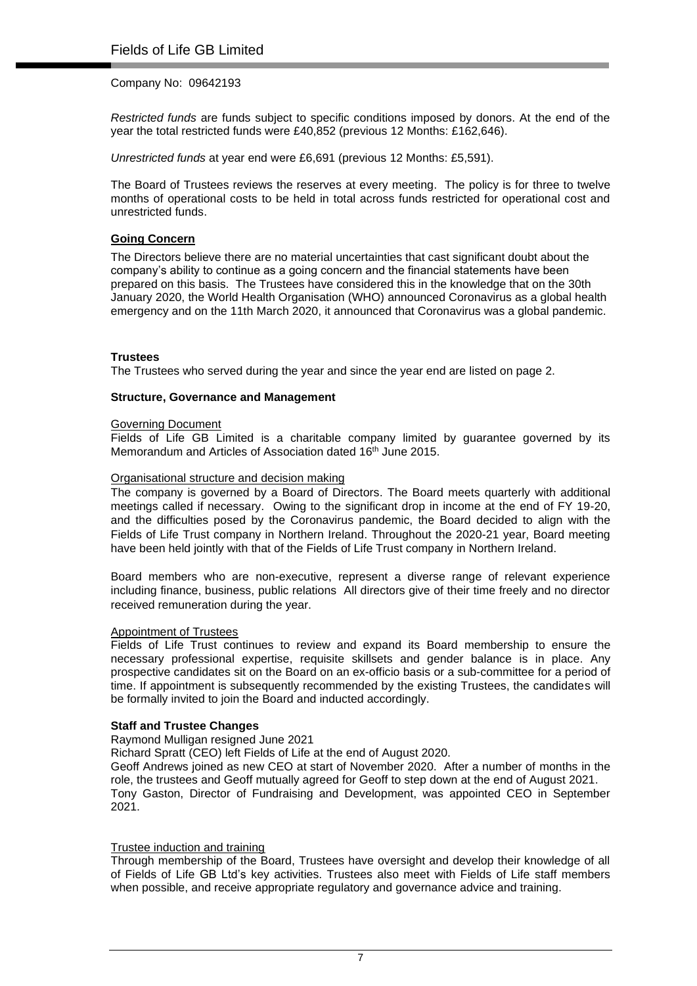*Restricted funds* are funds subject to specific conditions imposed by donors. At the end of the year the total restricted funds were £40,852 (previous 12 Months: £162,646).

*Unrestricted funds* at year end were £6,691 (previous 12 Months: £5,591).

The Board of Trustees reviews the reserves at every meeting. The policy is for three to twelve months of operational costs to be held in total across funds restricted for operational cost and unrestricted funds.

### **Going Concern**

The Directors believe there are no material uncertainties that cast significant doubt about the company's ability to continue as a going concern and the financial statements have been prepared on this basis. The Trustees have considered this in the knowledge that on the 30th January 2020, the World Health Organisation (WHO) announced Coronavirus as a global health emergency and on the 11th March 2020, it announced that Coronavirus was a global pandemic.

### **Trustees**

The Trustees who served during the year and since the year end are listed on page 2.

### **Structure, Governance and Management**

#### Governing Document

Fields of Life GB Limited is a charitable company limited by guarantee governed by its Memorandum and Articles of Association dated 16<sup>th</sup> June 2015.

### Organisational structure and decision making

The company is governed by a Board of Directors. The Board meets quarterly with additional meetings called if necessary. Owing to the significant drop in income at the end of FY 19-20, and the difficulties posed by the Coronavirus pandemic, the Board decided to align with the Fields of Life Trust company in Northern Ireland. Throughout the 2020-21 year, Board meeting have been held jointly with that of the Fields of Life Trust company in Northern Ireland.

Board members who are non-executive, represent a diverse range of relevant experience including finance, business, public relations All directors give of their time freely and no director received remuneration during the year.

### Appointment of Trustees

Fields of Life Trust continues to review and expand its Board membership to ensure the necessary professional expertise, requisite skillsets and gender balance is in place. Any prospective candidates sit on the Board on an ex-officio basis or a sub-committee for a period of time. If appointment is subsequently recommended by the existing Trustees, the candidates will be formally invited to join the Board and inducted accordingly.

### **Staff and Trustee Changes**

Raymond Mulligan resigned June 2021

Richard Spratt (CEO) left Fields of Life at the end of August 2020.

Geoff Andrews joined as new CEO at start of November 2020. After a number of months in the role, the trustees and Geoff mutually agreed for Geoff to step down at the end of August 2021. Tony Gaston, Director of Fundraising and Development, was appointed CEO in September 2021.

### Trustee induction and training

Through membership of the Board, Trustees have oversight and develop their knowledge of all of Fields of Life GB Ltd's key activities. Trustees also meet with Fields of Life staff members when possible, and receive appropriate regulatory and governance advice and training.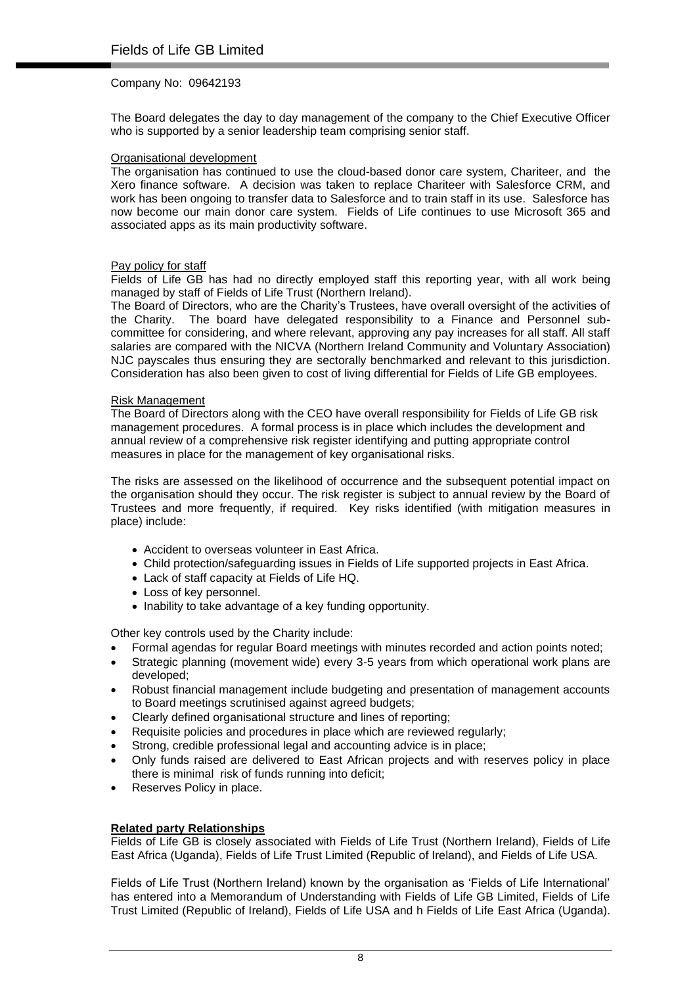The Board delegates the day to day management of the company to the Chief Executive Officer who is supported by a senior leadership team comprising senior staff.

### Organisational development

The organisation has continued to use the cloud-based donor care system, Chariteer, and the Xero finance software. A decision was taken to replace Chariteer with Salesforce CRM, and work has been ongoing to transfer data to Salesforce and to train staff in its use. Salesforce has now become our main donor care system. Fields of Life continues to use Microsoft 365 and associated apps as its main productivity software.

### Pay policy for staff

Fields of Life GB has had no directly employed staff this reporting year, with all work being managed by staff of Fields of Life Trust (Northern Ireland).

The Board of Directors, who are the Charity's Trustees, have overall oversight of the activities of the Charity. The board have delegated responsibility to a Finance and Personnel subcommittee for considering, and where relevant, approving any pay increases for all staff. All staff salaries are compared with the NICVA (Northern Ireland Community and Voluntary Association) NJC payscales thus ensuring they are sectorally benchmarked and relevant to this jurisdiction. Consideration has also been given to cost of living differential for Fields of Life GB employees.

### Risk Management

The Board of Directors along with the CEO have overall responsibility for Fields of Life GB risk management procedures. A formal process is in place which includes the development and annual review of a comprehensive risk register identifying and putting appropriate control measures in place for the management of key organisational risks.

The risks are assessed on the likelihood of occurrence and the subsequent potential impact on the organisation should they occur. The risk register is subject to annual review by the Board of Trustees and more frequently, if required. Key risks identified (with mitigation measures in place) include:

- Accident to overseas volunteer in East Africa.
- Child protection/safeguarding issues in Fields of Life supported projects in East Africa.
- Lack of staff capacity at Fields of Life HQ.
- Loss of key personnel.
- Inability to take advantage of a key funding opportunity.

Other key controls used by the Charity include:

- Formal agendas for regular Board meetings with minutes recorded and action points noted;
- Strategic planning (movement wide) every 3-5 years from which operational work plans are developed;
- Robust financial management include budgeting and presentation of management accounts to Board meetings scrutinised against agreed budgets;
- Clearly defined organisational structure and lines of reporting;
- Requisite policies and procedures in place which are reviewed regularly;
- Strong, credible professional legal and accounting advice is in place;
- Only funds raised are delivered to East African projects and with reserves policy in place there is minimal risk of funds running into deficit;
- Reserves Policy in place.

### **Related party Relationships**

Fields of Life GB is closely associated with Fields of Life Trust (Northern Ireland), Fields of Life East Africa (Uganda), Fields of Life Trust Limited (Republic of Ireland), and Fields of Life USA.

Fields of Life Trust (Northern Ireland) known by the organisation as 'Fields of Life International' has entered into a Memorandum of Understanding with Fields of Life GB Limited, Fields of Life Trust Limited (Republic of Ireland), Fields of Life USA and h Fields of Life East Africa (Uganda).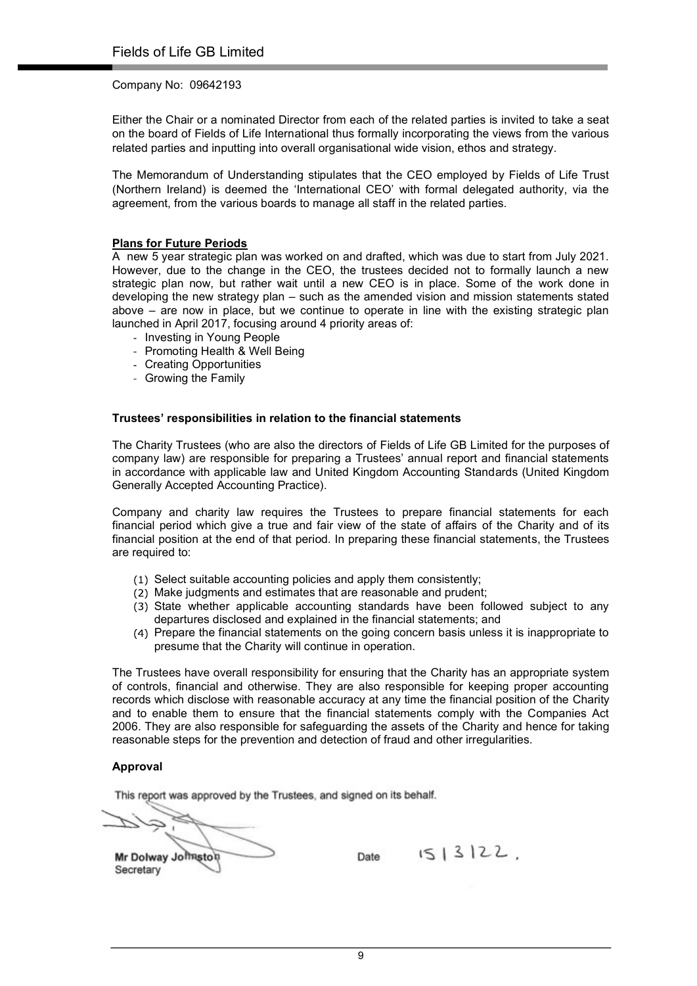Either the Chair or a nominated Director from each of the related parties is invited to take a seat on the board of Fields of Life International thus formally incorporating the views from the various related parties and inputting into overall organisational wide vision, ethos and strategy.

The Memorandum of Understanding stipulates that the CEO employed by Fields of Life Trust (Northern Ireland) is deemed the 'International CEO' with formal delegated authority, via the agreement, from the various boards to manage all staff in the related parties.

### Plans for Future Periods

A new 5 year strategic plan was worked on and drafted, which was due to start from July 2021. However, due to the change in the CEO, the trustees decided not to formally launch a new strategic plan now, but rather wait until a new CEO is in place. Some of the work done in developing the new strategy plan – such as the amended vision and mission statements stated above – are now in place, but we continue to operate in line with the existing strategic plan launched in April 2017, focusing around 4 priority areas of:

- Investing in Young People
- Promoting Health & Well Being
- Creating Opportunities
- Growing the Family

### Trustees' responsibilities in relation to the financial statements

The Charity Trustees (who are also the directors of Fields of Life GB Limited for the purposes of company law) are responsible for preparing a Trustees' annual report and financial statements in accordance with applicable law and United Kingdom Accounting Standards (United Kingdom Generally Accepted Accounting Practice).

Company and charity law requires the Trustees to prepare financial statements for each financial period which give a true and fair view of the state of affairs of the Charity and of its financial position at the end of that period. In preparing these financial statements, the Trustees are required to:

- (1) Select suitable accounting policies and apply them consistently;
- (2) Make judgments and estimates that are reasonable and prudent;
- State whether applicable accounting standards have been followed subject to any departures disclosed and explained in the financial statements; and
- Prepare the financial statements on the going concern basis unless it is inappropriate to presume that the Charity will continue in operation.

The Trustees have overall responsibility for ensuring that the Charity has an appropriate system of controls, financial and otherwise. They are also responsible for keeping proper accounting records which disclose with reasonable accuracy at any time the financial position of the Charity and to enable them to ensure that the financial statements comply with the Companies Act 2006. They are also responsible for safeguarding the assets of the Charity and hence for taking reasonable steps for the prevention and detection of fraud and other irregularities.

### Approval

This report was approved by the Trustees, and signed on its behalf.

Mr Dolway Johnston Date  $1513122$ ,

**Secretary**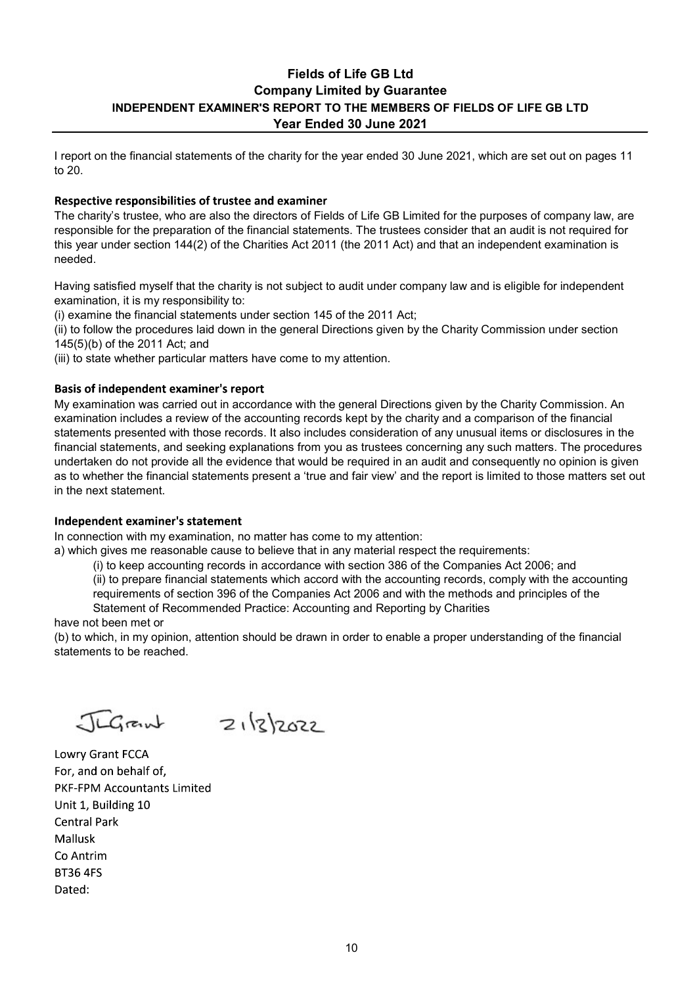### Fields of Life GB Ltd Company Limited by Guarantee INDEPENDENT EXAMINER'S REPORT TO THE MEMBERS OF FIELDS OF LIFE GB LTD Year Ended 30 June 2021

I report on the financial statements of the charity for the year ended 30 June 2021, which are set out on pages 11 to 20.

### Respective responsibilities of trustee and examiner

The charity's trustee, who are also the directors of Fields of Life GB Limited for the purposes of company law, are responsible for the preparation of the financial statements. The trustees consider that an audit is not required for this year under section 144(2) of the Charities Act 2011 (the 2011 Act) and that an independent examination is needed.

Having satisfied myself that the charity is not subject to audit under company law and is eligible for independent examination, it is my responsibility to:

(i) examine the financial statements under section 145 of the 2011 Act;

(ii) to follow the procedures laid down in the general Directions given by the Charity Commission under section 145(5)(b) of the 2011 Act; and

(iii) to state whether particular matters have come to my attention.

### **Basis of independent examiner's report**

My examination was carried out in accordance with the general Directions given by the Charity Commission. An examination includes a review of the accounting records kept by the charity and a comparison of the financial statements presented with those records. It also includes consideration of any unusual items or disclosures in the financial statements, and seeking explanations from you as trustees concerning any such matters. The procedures undertaken do not provide all the evidence that would be required in an audit and consequently no opinion is given as to whether the financial statements present a 'true and fair view' and the report is limited to those matters set out in the next statement.

### Independent examiner's statement

In connection with my examination, no matter has come to my attention:

a) which gives me reasonable cause to believe that in any material respect the requirements:

(i) to keep accounting records in accordance with section 386 of the Companies Act 2006; and

(ii) to prepare financial statements which accord with the accounting records, comply with the accounting

requirements of section 396 of the Companies Act 2006 and with the methods and principles of the Statement of Recommended Practice: Accounting and Reporting by Charities

have not been met or

(b) to which, in my opinion, attention should be drawn in order to enable a proper understanding of the financial statements to be reached.

 $Jugrank$   $Z_1|z|z_0z_2$ 

Lowry Grant FCCA For, and on behalf of, **PKF-FPM Accountants Limited** Unit 1, Building 10 **Central Park** Mallusk Co Antrim **BT36 4FS** Dated: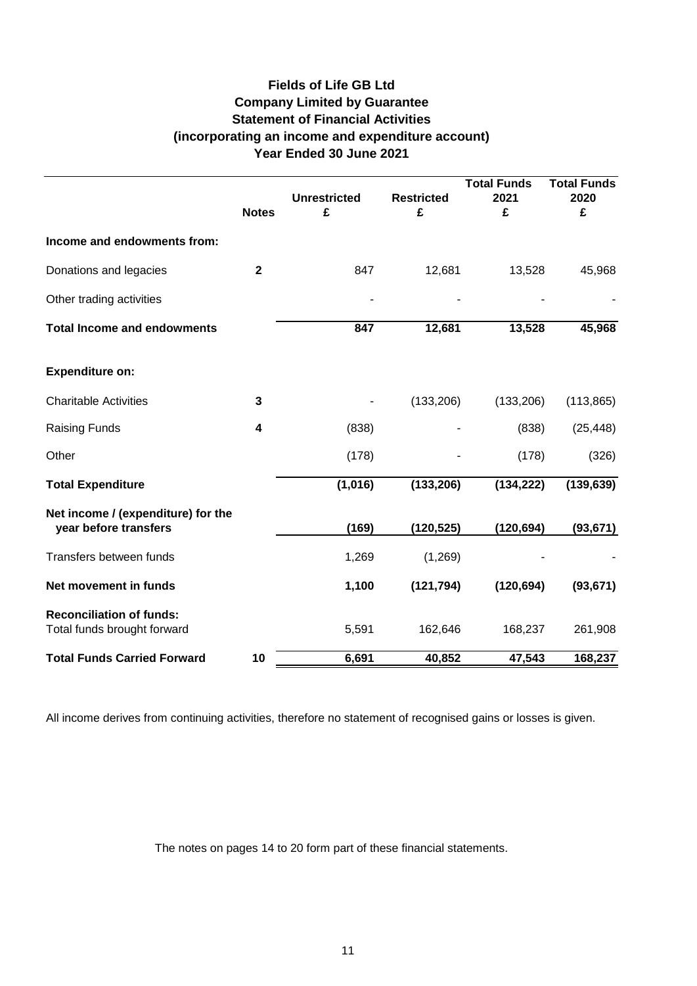### **Fields of Life GB Ltd Company Limited by Guarantee Statement of Financial Activities (incorporating an income and expenditure account) Year Ended 30 June 2021**

|                                                                | <b>Notes</b> | <b>Unrestricted</b><br>£ | <b>Restricted</b><br>£ | <b>Total Funds</b><br>2021<br>£ | <b>Total Funds</b><br>2020<br>£ |
|----------------------------------------------------------------|--------------|--------------------------|------------------------|---------------------------------|---------------------------------|
| Income and endowments from:                                    |              |                          |                        |                                 |                                 |
| Donations and legacies                                         | $\mathbf{2}$ | 847                      | 12,681                 | 13,528                          | 45,968                          |
| Other trading activities                                       |              |                          |                        |                                 |                                 |
| <b>Total Income and endowments</b>                             |              | 847                      | 12,681                 | 13,528                          | 45,968                          |
| <b>Expenditure on:</b>                                         |              |                          |                        |                                 |                                 |
| <b>Charitable Activities</b>                                   | 3            |                          | (133, 206)             | (133, 206)                      | (113, 865)                      |
| Raising Funds                                                  | 4            | (838)                    |                        | (838)                           | (25, 448)                       |
| Other                                                          |              | (178)                    |                        | (178)                           | (326)                           |
| <b>Total Expenditure</b>                                       |              | (1,016)                  | (133, 206)             | (134, 222)                      | (139, 639)                      |
| Net income / (expenditure) for the<br>year before transfers    |              | (169)                    | (120, 525)             | (120, 694)                      | (93, 671)                       |
| Transfers between funds                                        |              | 1,269                    | (1,269)                |                                 |                                 |
| Net movement in funds                                          |              | 1,100                    | (121, 794)             | (120, 694)                      | (93, 671)                       |
| <b>Reconciliation of funds:</b><br>Total funds brought forward |              | 5,591                    | 162,646                | 168,237                         | 261,908                         |
| <b>Total Funds Carried Forward</b>                             | 10           | 6,691                    | 40,852                 | 47,543                          | 168,237                         |

All income derives from continuing activities, therefore no statement of recognised gains or losses is given.

The notes on pages 14 to 20 form part of these financial statements.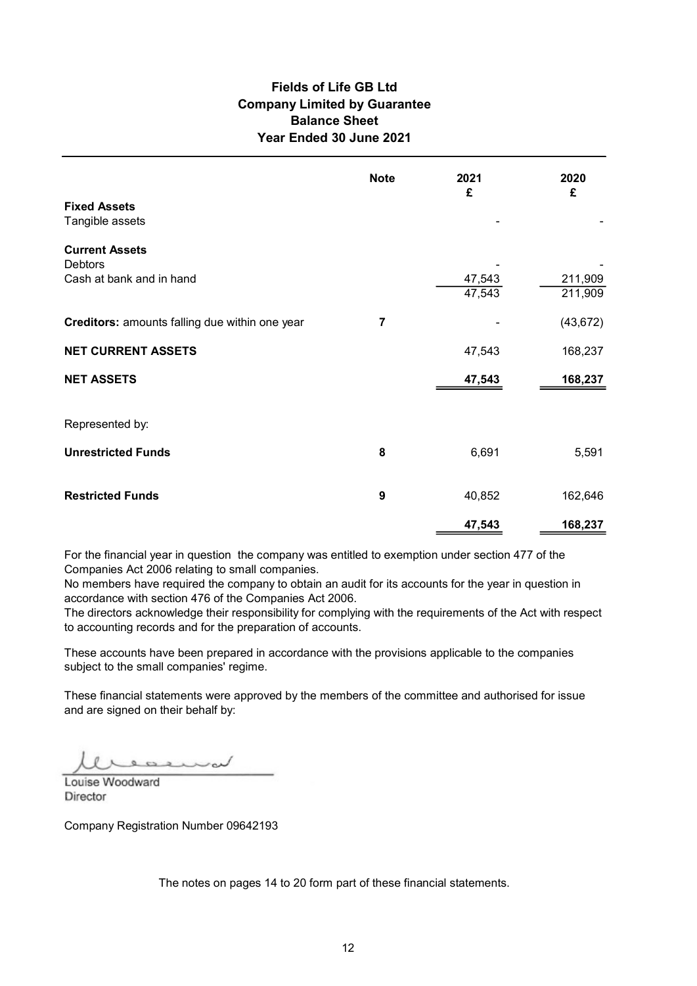### Fields of Life GB Ltd Balance Sheet Year Ended 30 June 2021 Company Limited by Guarantee

| <b>Fields of Life GB Ltd</b><br><b>Company Limited by Guarantee</b><br>Year Ended 30 June 2021 | <b>Balance Sheet</b><br><b>Note</b> | 2021   | 2020      |
|------------------------------------------------------------------------------------------------|-------------------------------------|--------|-----------|
| <b>Fixed Assets</b>                                                                            |                                     | £      | £         |
| Tangible assets                                                                                |                                     |        |           |
| <b>Current Assets</b><br>Debtors                                                               |                                     |        |           |
| Cash at bank and in hand                                                                       |                                     | 47,543 | 211,909   |
|                                                                                                |                                     | 47,543 | 211,909   |
| Creditors: amounts falling due within one year                                                 | $\overline{7}$                      |        | (43, 672) |
| <b>NET CURRENT ASSETS</b>                                                                      |                                     | 47,543 | 168,237   |
| <b>NET ASSETS</b>                                                                              |                                     | 47,543 | 168,237   |
| Represented by:                                                                                |                                     |        |           |
| <b>Unrestricted Funds</b>                                                                      | 8                                   | 6,691  | 5,591     |
| <b>Restricted Funds</b>                                                                        | 9                                   | 40,852 | 162,646   |
|                                                                                                |                                     | 47,543 | 168,237   |

For the financial year in question the company was entitled to exemption under section 477 of the Companies Act 2006 relating to small companies.

No members have required the company to obtain an audit for its accounts for the year in question in accordance with section 476 of the Companies Act 2006.

The directors acknowledge their responsibility for complying with the requirements of the Act with respect to accounting records and for the preparation of accounts.

These accounts have been prepared in accordance with the provisions applicable to the companies subject to the small companies' regime.

These financial statements were approved by the members of the committee and authorised for issue and are signed on their behalf by:

LOUIS BROWN

**Director** 

Company Registration Number 09642193

The notes on pages 14 to 20 form part of these financial statements.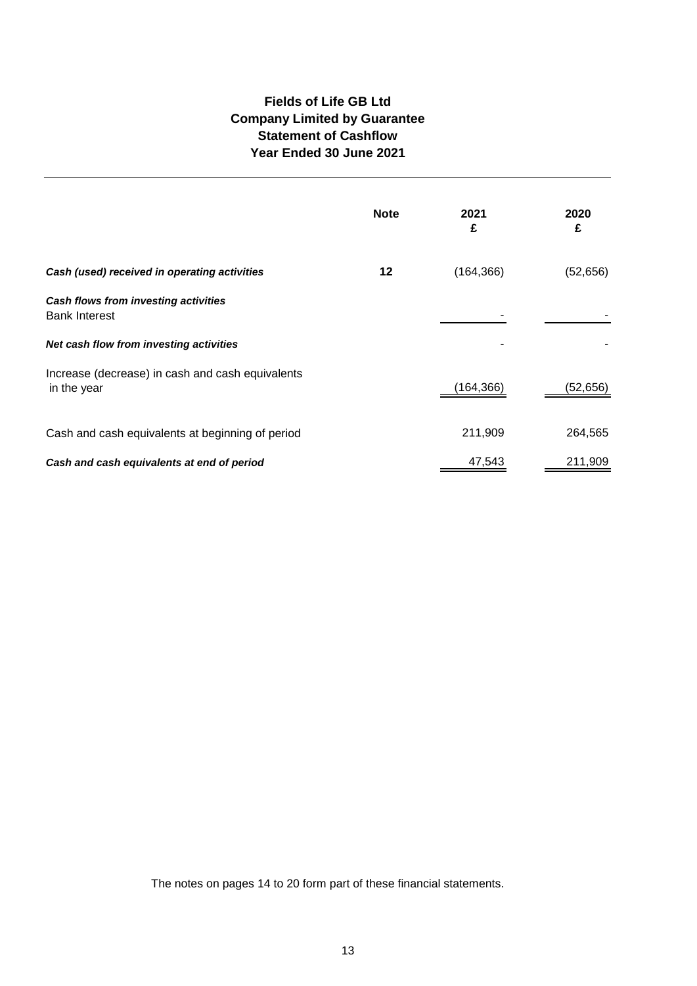### **Fields of Life GB Ltd Company Limited by Guarantee Statement of Cashflow Year Ended 30 June 2021**

|                                                                 | <b>Note</b> | 2021<br>£  | 2020<br>£ |
|-----------------------------------------------------------------|-------------|------------|-----------|
| Cash (used) received in operating activities                    | 12          | (164, 366) | (52, 656) |
| Cash flows from investing activities<br><b>Bank Interest</b>    |             |            |           |
| Net cash flow from investing activities                         |             |            |           |
| Increase (decrease) in cash and cash equivalents<br>in the year |             | (164, 366) | (52,656)  |
| Cash and cash equivalents at beginning of period                |             | 211,909    | 264,565   |
| Cash and cash equivalents at end of period                      |             | 47,543     | 211,909   |

The notes on pages 14 to 20 form part of these financial statements.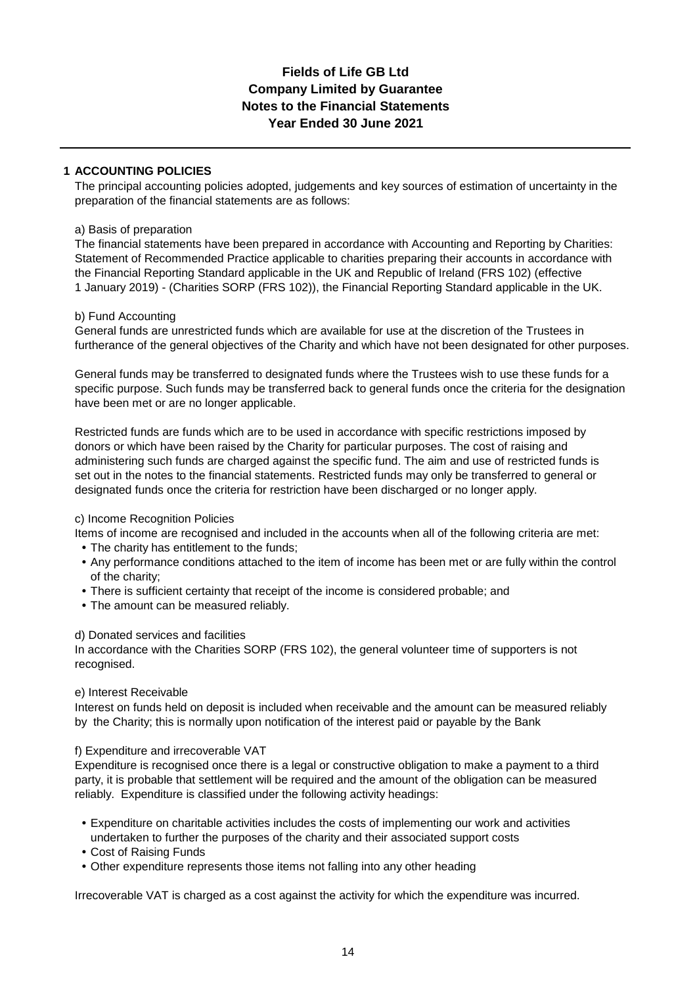### **Fields of Life GB Ltd Notes to the Financial Statements Year Ended 30 June 2021 Company Limited by Guarantee**

### **1 ACCOUNTING POLICIES**

The principal accounting policies adopted, judgements and key sources of estimation of uncertainty in the preparation of the financial statements are as follows:

### a) Basis of preparation

The financial statements have been prepared in accordance with Accounting and Reporting by Charities: Statement of Recommended Practice applicable to charities preparing their accounts in accordance with the Financial Reporting Standard applicable in the UK and Republic of Ireland (FRS 102) (effective 1 January 2019) - (Charities SORP (FRS 102)), the Financial Reporting Standard applicable in the UK.

### b) Fund Accounting

General funds are unrestricted funds which are available for use at the discretion of the Trustees in furtherance of the general objectives of the Charity and which have not been designated for other purposes.

General funds may be transferred to designated funds where the Trustees wish to use these funds for a specific purpose. Such funds may be transferred back to general funds once the criteria for the designation have been met or are no longer applicable.

Restricted funds are funds which are to be used in accordance with specific restrictions imposed by donors or which have been raised by the Charity for particular purposes. The cost of raising and administering such funds are charged against the specific fund. The aim and use of restricted funds is set out in the notes to the financial statements. Restricted funds may only be transferred to general or designated funds once the criteria for restriction have been discharged or no longer apply.

### c) Income Recognition Policies

Items of income are recognised and included in the accounts when all of the following criteria are met:

- **•** The charity has entitlement to the funds;
- **•** Any performance conditions attached to the item of income has been met or are fully within the control of the charity;
- **•** There is sufficient certainty that receipt of the income is considered probable; and
- **•** The amount can be measured reliably.

### d) Donated services and facilities

In accordance with the Charities SORP (FRS 102), the general volunteer time of supporters is not recognised.

### e) Interest Receivable

Interest on funds held on deposit is included when receivable and the amount can be measured reliably by the Charity; this is normally upon notification of the interest paid or payable by the Bank

### f) Expenditure and irrecoverable VAT

Expenditure is recognised once there is a legal or constructive obligation to make a payment to a third party, it is probable that settlement will be required and the amount of the obligation can be measured reliably. Expenditure is classified under the following activity headings:

- **•** Expenditure on charitable activities includes the costs of implementing our work and activities undertaken to further the purposes of the charity and their associated support costs
- **•** Cost of Raising Funds
- **•** Other expenditure represents those items not falling into any other heading

Irrecoverable VAT is charged as a cost against the activity for which the expenditure was incurred.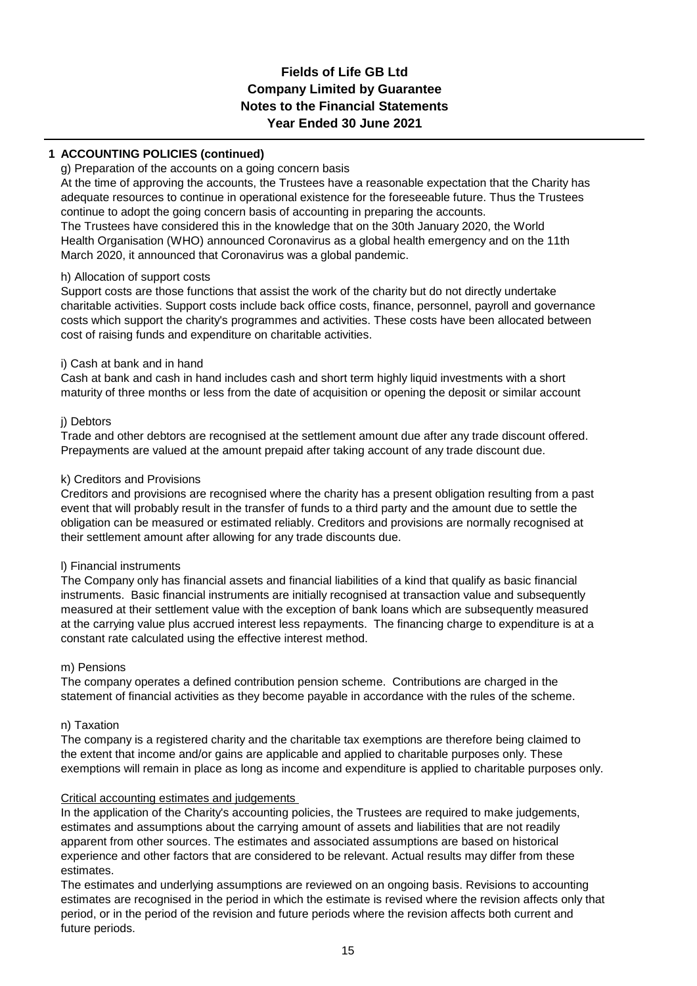### **Fields of Life GB Ltd Company Limited by Guarantee Notes to the Financial Statements Year Ended 30 June 2021**

### **1 ACCOUNTING POLICIES (continued)**

### g) Preparation of the accounts on a going concern basis

At the time of approving the accounts, the Trustees have a reasonable expectation that the Charity has adequate resources to continue in operational existence for the foreseeable future. Thus the Trustees continue to adopt the going concern basis of accounting in preparing the accounts.

The Trustees have considered this in the knowledge that on the 30th January 2020, the World Health Organisation (WHO) announced Coronavirus as a global health emergency and on the 11th March 2020, it announced that Coronavirus was a global pandemic.

### h) Allocation of support costs

Support costs are those functions that assist the work of the charity but do not directly undertake charitable activities. Support costs include back office costs, finance, personnel, payroll and governance costs which support the charity's programmes and activities. These costs have been allocated between cost of raising funds and expenditure on charitable activities.

### i) Cash at bank and in hand

Cash at bank and cash in hand includes cash and short term highly liquid investments with a short maturity of three months or less from the date of acquisition or opening the deposit or similar account

### j) Debtors

Trade and other debtors are recognised at the settlement amount due after any trade discount offered. Prepayments are valued at the amount prepaid after taking account of any trade discount due.

### k) Creditors and Provisions

Creditors and provisions are recognised where the charity has a present obligation resulting from a past event that will probably result in the transfer of funds to a third party and the amount due to settle the obligation can be measured or estimated reliably. Creditors and provisions are normally recognised at their settlement amount after allowing for any trade discounts due.

### l) Financial instruments

The Company only has financial assets and financial liabilities of a kind that qualify as basic financial instruments. Basic financial instruments are initially recognised at transaction value and subsequently measured at their settlement value with the exception of bank loans which are subsequently measured at the carrying value plus accrued interest less repayments. The financing charge to expenditure is at a constant rate calculated using the effective interest method.

### m) Pensions

The company operates a defined contribution pension scheme. Contributions are charged in the statement of financial activities as they become payable in accordance with the rules of the scheme.

### n) Taxation

The company is a registered charity and the charitable tax exemptions are therefore being claimed to the extent that income and/or gains are applicable and applied to charitable purposes only. These exemptions will remain in place as long as income and expenditure is applied to charitable purposes only.

### Critical accounting estimates and judgements

In the application of the Charity's accounting policies, the Trustees are required to make judgements, estimates and assumptions about the carrying amount of assets and liabilities that are not readily apparent from other sources. The estimates and associated assumptions are based on historical experience and other factors that are considered to be relevant. Actual results may differ from these estimates.

The estimates and underlying assumptions are reviewed on an ongoing basis. Revisions to accounting estimates are recognised in the period in which the estimate is revised where the revision affects only that period, or in the period of the revision and future periods where the revision affects both current and future periods.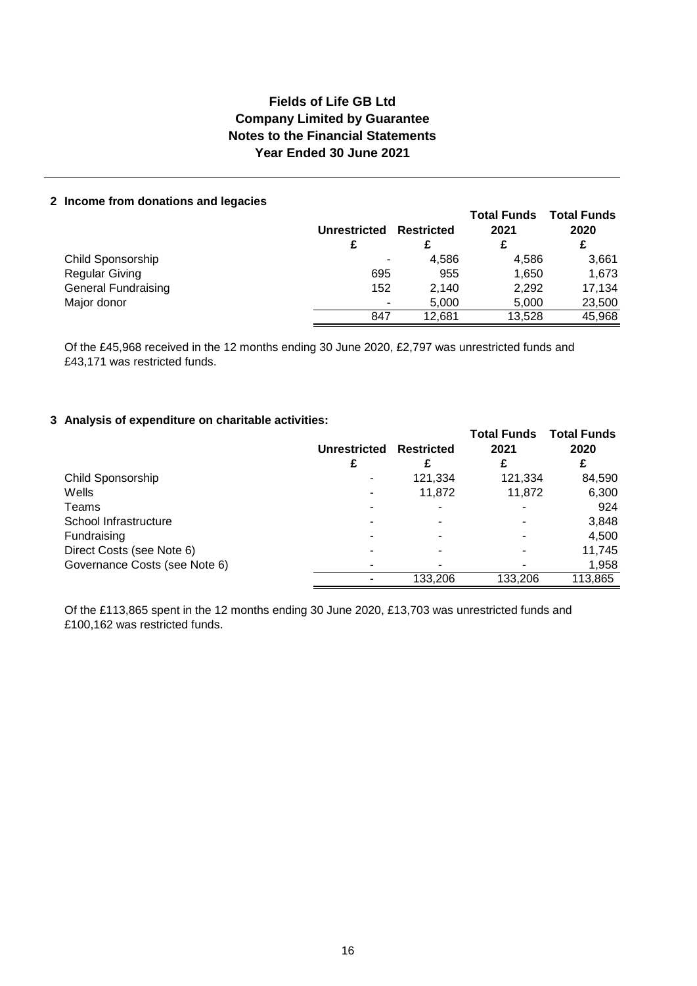### **Fields of Life GB Ltd Company Limited by Guarantee Notes to the Financial Statements Year Ended 30 June 2021**

### **2 Income from donations and legacies**

|                            | <b>Unrestricted</b>      | <b>Restricted</b> | <b>Total Funds</b><br>2021 | <b>Total Funds</b><br>2020<br>£ |
|----------------------------|--------------------------|-------------------|----------------------------|---------------------------------|
| Child Sponsorship          | $\overline{\phantom{0}}$ | 4,586             | 4.586                      | 3,661                           |
| <b>Regular Giving</b>      | 695                      | 955               | 1,650                      | 1,673                           |
| <b>General Fundraising</b> | 152                      | 2,140             | 2,292                      | 17,134                          |
| Major donor                | $\overline{\phantom{a}}$ | 5.000             | 5.000                      | 23,500                          |
|                            | 847                      | 12.681            | 13.528                     | 45,968                          |

Of the £45,968 received in the 12 months ending 30 June 2020, £2,797 was unrestricted funds and £43,171 was restricted funds.

### **3 Analysis of expenditure on charitable activities:**

|                               | <b>Unrestricted</b> | <b>Restricted</b> | <b>Total Funds</b><br>2021 | <b>Total Funds</b><br>2020 |
|-------------------------------|---------------------|-------------------|----------------------------|----------------------------|
|                               |                     |                   |                            | £                          |
| Child Sponsorship             |                     | 121,334           | 121,334                    | 84,590                     |
| Wells                         | -                   | 11.872            | 11.872                     | 6,300                      |
| Teams                         |                     | ٠                 |                            | 924                        |
| School Infrastructure         |                     |                   |                            | 3,848                      |
| Fundraising                   |                     | ۰                 |                            | 4,500                      |
| Direct Costs (see Note 6)     |                     |                   |                            | 11,745                     |
| Governance Costs (see Note 6) |                     |                   |                            | 1,958                      |
|                               |                     | 133.206           | 133,206                    | 113,865                    |

Of the £113,865 spent in the 12 months ending 30 June 2020, £13,703 was unrestricted funds and £100,162 was restricted funds.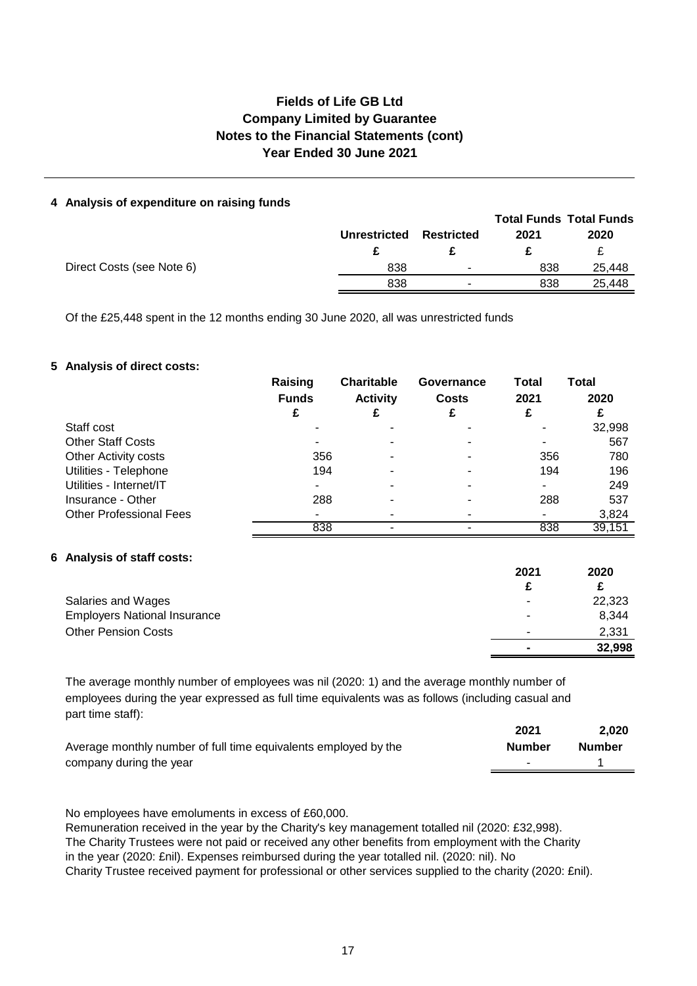### **Fields of Life GB Ltd Notes to the Financial Statements (cont) Year Ended 30 June 2021 Company Limited by Guarantee**

### **4 Analysis of expenditure on raising funds**

|                     |                   |      | <b>Total Funds Total Funds</b> |
|---------------------|-------------------|------|--------------------------------|
| <b>Unrestricted</b> | <b>Restricted</b> | 2021 | 2020                           |
|                     |                   |      |                                |
| 838                 | ۰                 | 838  | 25.448                         |
| 838                 |                   | 838  | 25.448                         |
|                     |                   |      |                                |

Of the £25,448 spent in the 12 months ending 30 June 2020, all was unrestricted funds

### **5 Analysis of direct costs:**

|                                | Raising      | <b>Charitable</b> | Governance   | <b>Total</b> | Total  |
|--------------------------------|--------------|-------------------|--------------|--------------|--------|
|                                | <b>Funds</b> | <b>Activity</b>   | <b>Costs</b> | 2021         | 2020   |
|                                | £            |                   |              | £            | £      |
| Staff cost                     |              |                   |              |              | 32,998 |
| <b>Other Staff Costs</b>       | ۰            |                   |              |              | 567    |
| <b>Other Activity costs</b>    | 356          |                   |              | 356          | 780    |
| Utilities - Telephone          | 194          | -                 | -            | 194          | 196    |
| Utilities - Internet/IT        | ٠            |                   |              |              | 249    |
| Insurance - Other              | 288          |                   |              | 288          | 537    |
| <b>Other Professional Fees</b> |              |                   |              |              | 3,824  |
|                                | 838          |                   |              | 838          | 39,151 |

### **6 Analysis of staff costs:**

|                                     | 2021 | 2020   |
|-------------------------------------|------|--------|
|                                     |      | £      |
| Salaries and Wages                  | ۰    | 22,323 |
| <b>Employers National Insurance</b> | ۰    | 8,344  |
| <b>Other Pension Costs</b>          | -    | 2,331  |
|                                     |      | 32,998 |
|                                     |      |        |

The average monthly number of employees was nil (2020: 1) and the average monthly number of employees during the year expressed as full time equivalents was as follows (including casual and part time staff):

|                                                                 | 2021          | 2.020         |
|-----------------------------------------------------------------|---------------|---------------|
| Average monthly number of full time equivalents employed by the | <b>Number</b> | <b>Number</b> |
| company during the year                                         |               |               |

No employees have emoluments in excess of £60,000.

Remuneration received in the year by the Charity's key management totalled nil (2020: £32,998). The Charity Trustees were not paid or received any other benefits from employment with the Charity in the year (2020: £nil). Expenses reimbursed during the year totalled nil. (2020: nil). No Charity Trustee received payment for professional or other services supplied to the charity (2020: £nil).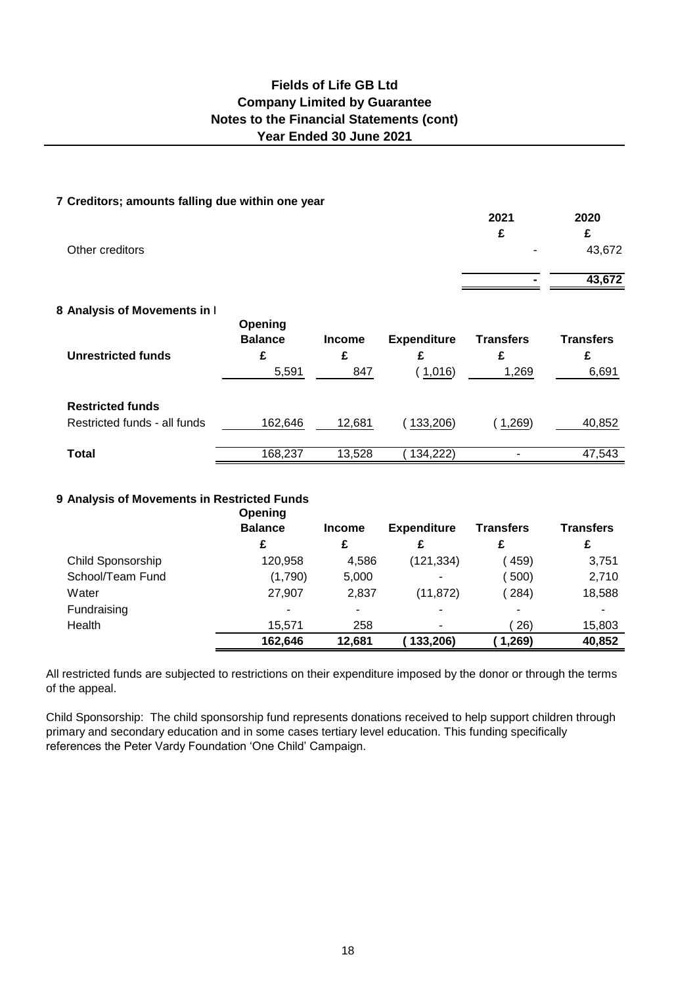### **Year Ended 30 June 2021 Fields of Life GB Ltd Company Limited by Guarantee Notes to the Financial Statements (cont)**

### **7 Creditors; amounts falling due within one year**

| Other creditors              |                |               |                    | 2021<br>£        | 2020<br>£<br>43,672 |
|------------------------------|----------------|---------------|--------------------|------------------|---------------------|
|                              |                |               |                    |                  | 43,672              |
| 8 Analysis of Movements in I | Opening        |               |                    |                  |                     |
|                              | <b>Balance</b> | <b>Income</b> | <b>Expenditure</b> | <b>Transfers</b> | <b>Transfers</b>    |
| <b>Unrestricted funds</b>    | £<br>5,591     | £<br>847      | £<br>(1,016)       | £<br>1,269       | £<br>6,691          |
| <b>Restricted funds</b>      |                |               |                    |                  |                     |
| Restricted funds - all funds | 162,646        | 12,681        | 133,206)           | 1,269            | 40,852              |
| Total                        | 168,237        | 13,528        | 134,222)           |                  | 47,543              |
|                              |                |               |                    |                  |                     |

### **9 Analysis of Movements in Restricted Funds**

|                   | Opening        |               |                    |                  |                  |
|-------------------|----------------|---------------|--------------------|------------------|------------------|
|                   | <b>Balance</b> | <b>Income</b> | <b>Expenditure</b> | <b>Transfers</b> | <b>Transfers</b> |
|                   | £              | £             |                    | £                | £                |
| Child Sponsorship | 120,958        | 4,586         | (121, 334)         | (459)            | 3,751            |
| School/Team Fund  | (1,790)        | 5,000         | ۰                  | 500)             | 2,710            |
| Water             | 27,907         | 2,837         | (11, 872)          | (284)            | 18,588           |
| Fundraising       | -              | ۰             | ٠                  | ۰                |                  |
| Health            | 15.571         | 258           | ٠                  | 26)              | 15,803           |
|                   | 162,646        | 12,681        | 133,206)           | 1,269            | 40,852           |

All restricted funds are subjected to restrictions on their expenditure imposed by the donor or through the terms of the appeal.

Child Sponsorship: The child sponsorship fund represents donations received to help support children through primary and secondary education and in some cases tertiary level education. This funding specifically references the Peter Vardy Foundation 'One Child' Campaign.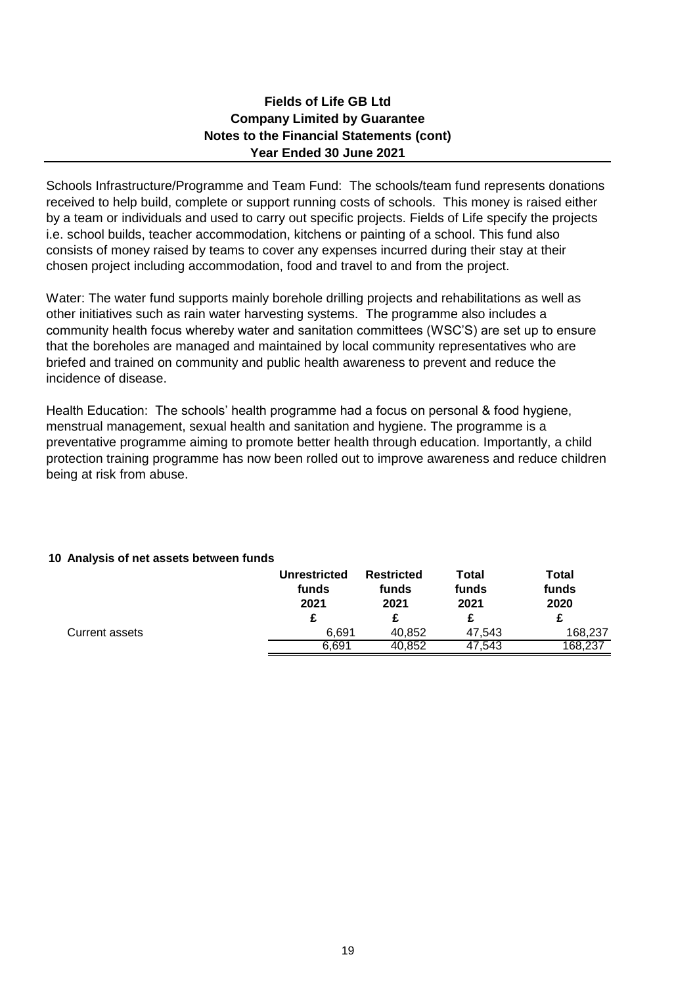### **Company Limited by Guarantee Notes to the Financial Statements (cont) Year Ended 30 June 2021 Fields of Life GB Ltd**

Schools Infrastructure/Programme and Team Fund: The schools/team fund represents donations received to help build, complete or support running costs of schools. This money is raised either by a team or individuals and used to carry out specific projects. Fields of Life specify the projects i.e. school builds, teacher accommodation, kitchens or painting of a school. This fund also consists of money raised by teams to cover any expenses incurred during their stay at their chosen project including accommodation, food and travel to and from the project.

Water: The water fund supports mainly borehole drilling projects and rehabilitations as well as other initiatives such as rain water harvesting systems. The programme also includes a community health focus whereby water and sanitation committees (WSC'S) are set up to ensure that the boreholes are managed and maintained by local community representatives who are briefed and trained on community and public health awareness to prevent and reduce the incidence of disease.

Health Education: The schools' health programme had a focus on personal & food hygiene, menstrual management, sexual health and sanitation and hygiene. The programme is a preventative programme aiming to promote better health through education. Importantly, a child protection training programme has now been rolled out to improve awareness and reduce children being at risk from abuse.

### **10 Analysis of net assets between funds**

|                | <b>Unrestricted</b><br>funds<br>2021 | <b>Restricted</b><br>funds<br>2021 | Total<br>funds<br>2021 | Total<br>funds<br>2020 |
|----------------|--------------------------------------|------------------------------------|------------------------|------------------------|
|                | £                                    |                                    |                        |                        |
| Current assets | 6.691                                | 40.852                             | 47.543                 | 168,237                |
|                | 6.691                                | 40,852                             | 47.543                 | 168,237                |